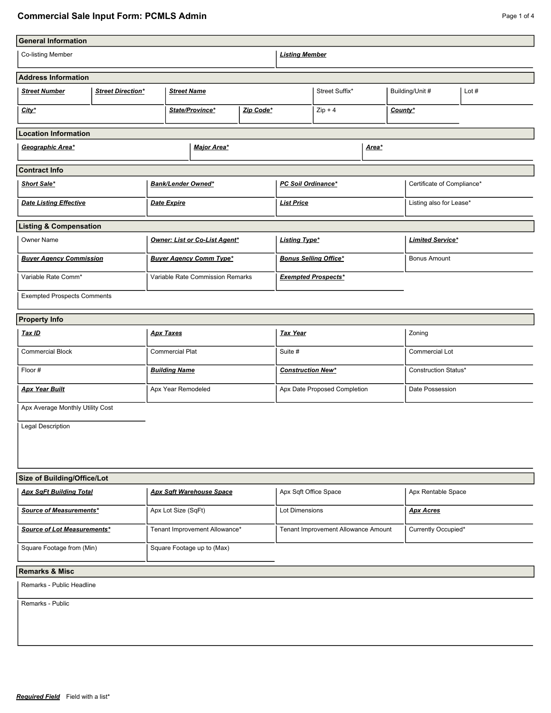## **Commercial Sale Input Form: PCMLS Admin Page 1 of 4 Page 1 of 4**

| <b>General Information</b><br>Co-listing Member |                          |                               |                                  | <b>Listing Member</b>    |                              |                                     |                       |                         |                            |  |
|-------------------------------------------------|--------------------------|-------------------------------|----------------------------------|--------------------------|------------------------------|-------------------------------------|-----------------------|-------------------------|----------------------------|--|
| <b>Address Information</b>                      |                          |                               |                                  |                          |                              |                                     |                       |                         |                            |  |
| <b>Street Number</b>                            | <b>Street Direction*</b> |                               | <b>Street Name</b>               |                          |                              | Street Suffix*                      |                       | Building/Unit #         | Lot $#$                    |  |
| City*                                           |                          |                               | State/Province*<br>Zip Code*     |                          |                              | $Zip + 4$                           |                       | County*                 |                            |  |
| <b>Location Information</b>                     |                          |                               |                                  |                          |                              |                                     |                       |                         |                            |  |
| Geographic Area*                                |                          |                               | <b>Major Area*</b>               |                          |                              |                                     | Area*                 |                         |                            |  |
| <b>Contract Info</b>                            |                          |                               |                                  |                          |                              |                                     |                       |                         |                            |  |
| Short Sale*                                     |                          |                               | <b>Bank/Lender Owned*</b>        |                          | <b>PC Soil Ordinance*</b>    |                                     |                       |                         | Certificate of Compliance* |  |
| <b>Date Listing Effective</b>                   |                          |                               | Date Expire                      |                          | <b>List Price</b>            |                                     |                       | Listing also for Lease* |                            |  |
| <b>Listing &amp; Compensation</b>               |                          |                               |                                  |                          |                              |                                     |                       |                         |                            |  |
| Owner Name                                      |                          | Owner: List or Co-List Agent* |                                  | <b>Listing Type*</b>     |                              |                                     |                       | <b>Limited Service*</b> |                            |  |
| <b>Buyer Agency Commission</b>                  |                          |                               | <b>Buyer Agency Comm Type*</b>   |                          | <b>Bonus Selling Office*</b> |                                     | <b>Bonus Amount</b>   |                         |                            |  |
| Variable Rate Comm*                             |                          |                               | Variable Rate Commission Remarks |                          | <b>Exempted Prospects*</b>   |                                     |                       |                         |                            |  |
| <b>Exempted Prospects Comments</b>              |                          |                               |                                  |                          |                              |                                     |                       |                         |                            |  |
| <b>Property Info</b>                            |                          |                               |                                  |                          |                              |                                     |                       |                         |                            |  |
| Tax ID                                          |                          | <b>Apx Taxes</b>              |                                  | <b>Tax Year</b>          |                              | Zoning                              |                       |                         |                            |  |
| <b>Commercial Block</b>                         |                          |                               | <b>Commercial Plat</b>           |                          | Suite #                      |                                     | <b>Commercial Lot</b> |                         |                            |  |
| Floor #                                         |                          | <b>Building Name</b>          |                                  | <b>Construction New*</b> |                              |                                     | Construction Status*  |                         |                            |  |
| <b>Apx Year Built</b>                           |                          |                               | Apx Year Remodeled               |                          | Apx Date Proposed Completion |                                     |                       | Date Possession         |                            |  |
| Apx Average Monthly Utility Cost                |                          |                               |                                  |                          |                              |                                     |                       |                         |                            |  |
| Legal Description                               |                          |                               |                                  |                          |                              |                                     |                       |                         |                            |  |
| Size of Building/Office/Lot                     |                          |                               |                                  |                          |                              |                                     |                       |                         |                            |  |
| <b>Apx SqFt Building Total</b>                  |                          |                               | <b>Apx Sqft Warehouse Space</b>  |                          | Apx Sqft Office Space        |                                     |                       | Apx Rentable Space      |                            |  |
| Source of Measurements*                         |                          |                               | Apx Lot Size (SqFt)              |                          | Lot Dimensions               |                                     | <b>Apx Acres</b>      |                         |                            |  |
| Source of Lot Measurements*                     |                          |                               | Tenant Improvement Allowance*    |                          |                              | Tenant Improvement Allowance Amount |                       | Currently Occupied*     |                            |  |
| Square Footage from (Min)                       |                          | Square Footage up to (Max)    |                                  |                          |                              |                                     |                       |                         |                            |  |
| <b>Remarks &amp; Misc</b>                       |                          |                               |                                  |                          |                              |                                     |                       |                         |                            |  |
| Remarks - Public Headline                       |                          |                               |                                  |                          |                              |                                     |                       |                         |                            |  |
| Remarks - Public                                |                          |                               |                                  |                          |                              |                                     |                       |                         |                            |  |
|                                                 |                          |                               |                                  |                          |                              |                                     |                       |                         |                            |  |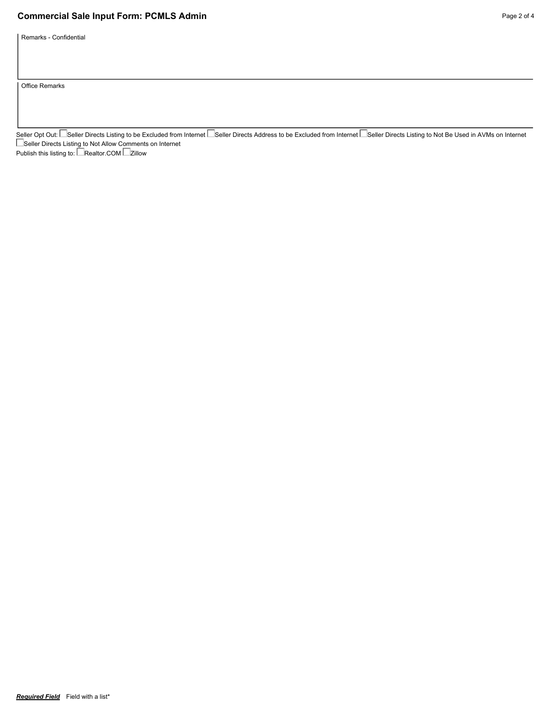## **Commercial Sale Input Form: PCMLS Admin Page 2 of 4 Page 2 of 4**

Remarks - Confidential

Office Remarks

Seller Opt Out: └─Seller Directs Listing to be Excluded from Internet └─Seller Directs Address to be Excluded from Internet └─Seller Directs Listing to Not Be Used in AVMs on Internet Seller Directs Listing to Not Allow Comments on Internet Publish this listing to: LeRealtor.COM Le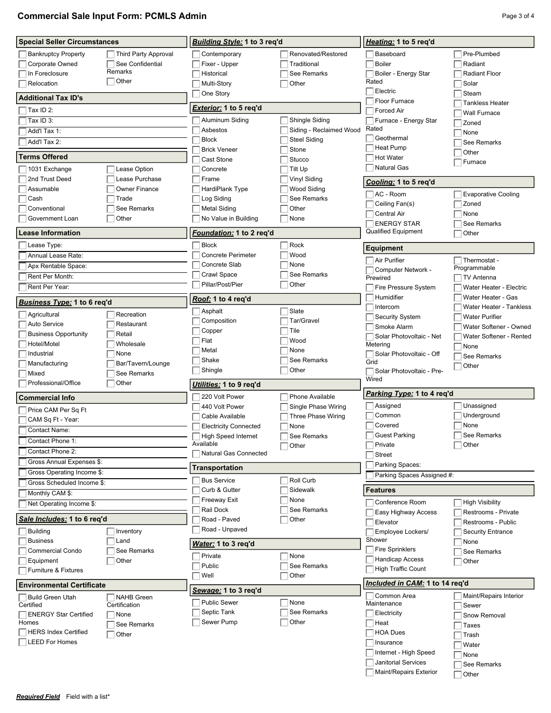| <b>Commercial Sale Input Form: PCMLS Admin</b> | Page 3 of 4 |
|------------------------------------------------|-------------|
|------------------------------------------------|-------------|

| <b>Special Seller Circumstances</b>                      |                      | <b>Building Style: 1 to 3 reg'd</b> |                         | Heating: 1 to 5 reg'd                |                            |  |
|----------------------------------------------------------|----------------------|-------------------------------------|-------------------------|--------------------------------------|----------------------------|--|
| <b>Bankruptcy Property</b>                               | Third Party Approval | Contemporary                        | Renovated/Restored      | Baseboard                            | Pre-Plumbed                |  |
| Corporate Owned                                          | See Confidential     | Fixer - Upper                       | Traditional             | <b>Boiler</b>                        | Radiant                    |  |
| In Foreclosure                                           | Remarks              | Historical                          | See Remarks             | Boiler - Energy Star                 | <b>Radiant Floor</b>       |  |
| Relocation                                               | $\sqsupset$ Other    | Multi-Story                         | Other                   | Rated                                | Solar                      |  |
|                                                          |                      | One Story                           |                         | Electric                             | Steam                      |  |
| <b>Additional Tax ID's</b>                               |                      |                                     |                         | Floor Furnace                        | <b>Tankless Heater</b>     |  |
| Tax ID 2:                                                |                      | <i>Exterior:</i> 1 to 5 req'd       |                         | <b>Forced Air</b>                    | <b>Wall Furnace</b>        |  |
| Tax ID 3:                                                |                      | Aluminum Siding                     | Shingle Siding          | Furnace - Energy Star                | Zoned                      |  |
| Add'l Tax 1:                                             |                      | Asbestos                            | Siding - Reclaimed Wood | Rated                                | None                       |  |
| Add'l Tax 2:                                             |                      | <b>Block</b>                        | <b>Steel Siding</b>     | Geothermal                           | See Remarks                |  |
|                                                          |                      | <b>Brick Veneer</b>                 | Stone                   | Heat Pump                            | Other                      |  |
| <b>Terms Offered</b>                                     |                      | Cast Stone                          | Stucco                  | <b>Hot Water</b>                     | Furnace                    |  |
| 1031 Exchange                                            | Lease Option         | Concrete                            | Tilt Up                 | <b>Natural Gas</b>                   |                            |  |
| 2nd Trust Deed                                           | Lease Purchase       | Frame                               | Vinyl Siding            | Cooling: 1 to 5 req'd                |                            |  |
| Assumable                                                | <b>Owner Finance</b> | HardiPlank Type                     | Wood Siding             | AC - Room                            | <b>Evaporative Cooling</b> |  |
| Cash                                                     | Trade                | Log Siding                          | See Remarks             | Ceiling Fan(s)                       | Zoned                      |  |
| Conventional                                             | See Remarks          | <b>Metal Siding</b>                 | Other                   | <b>Central Air</b>                   | None                       |  |
| Government Loan                                          | Other                | No Value in Building                | None                    | <b>ENERGY STAR</b>                   | See Remarks                |  |
| <b>Lease Information</b>                                 |                      | <i>Foundation:</i> 1 to 2 req'd     |                         | <b>Qualified Equipment</b>           | Other                      |  |
| Lease Type:                                              |                      | <b>Block</b>                        | Rock                    | <b>Equipment</b>                     |                            |  |
| Annual Lease Rate:                                       |                      | <b>Concrete Perimeter</b>           | Wood                    | Air Purifier                         | Thermostat -               |  |
| Apx Rentable Space:                                      |                      | Concrete Slab                       | None                    | Computer Network -                   | Programmable               |  |
| Rent Per Month:                                          |                      | Crawl Space                         | See Remarks             | Prewired                             | TV Antenna                 |  |
| Rent Per Year:                                           |                      | Pillar/Post/Pier                    | Other                   | Fire Pressure System                 | Water Heater - Electric    |  |
| <u>Business Type:</u> 1 to 6 req'd                       |                      | Roof: 1 to 4 req'd                  |                         | Humidifier                           | Water Heater - Gas         |  |
|                                                          | Recreation           | Asphalt                             | Slate                   | Intercom                             | Water Heater - Tankless    |  |
| Agricultural<br><b>Auto Service</b>                      | Restaurant           | Composition                         | Tar/Gravel              | <b>Security System</b>               | <b>Water Purifier</b>      |  |
| <b>Business Opportunity</b>                              | Retail               | Copper                              | Tile                    | Smoke Alarm                          | Water Softener - Owned     |  |
| Hotel/Motel                                              | Wholesale            | Flat                                | Wood                    | Solar Photovoltaic - Net<br>Metering | Water Softener - Rented    |  |
| Industrial                                               | None                 | Metal                               | None                    | Solar Photovoltaic - Off             | None                       |  |
| Manufacturing                                            | Bar/Tavern/Lounge    | Shake                               | See Remarks             | Grid                                 | See Remarks                |  |
| Mixed                                                    | See Remarks          | Shingle                             | Other                   | Solar Photovoltaic - Pre-            | Other                      |  |
| Professional/Office<br>Other                             |                      | Utilities: 1 to 9 req'd             |                         | Wired                                |                            |  |
| <b>Commercial Info</b>                                   |                      | 220 Volt Power                      | Phone Available         | Parking Type: 1 to 4 reg'd           |                            |  |
| Price CAM Per Sq Ft                                      |                      | 440 Volt Power                      | Single Phase Wiring     | Assigned                             | Unassigned                 |  |
| CAM Sq Ft - Year:                                        |                      | Cable Available                     | Three Phase Wiring      | Common                               | Underground                |  |
| Contact Name:                                            |                      | <b>Electricity Connected</b>        | None                    | Covered                              | None                       |  |
|                                                          |                      | High Speed Internet                 | See Remarks             | <b>Guest Parking</b>                 | See Remarks                |  |
| Contact Phone 1:                                         |                      | Available                           | Other                   | Private                              | Other                      |  |
| Contact Phone 2:                                         |                      | <b>Natural Gas Connected</b>        |                         | <b>Street</b>                        |                            |  |
| Gross Annual Expenses \$:                                |                      | Transportation                      |                         | Parking Spaces:                      |                            |  |
| Gross Operating Income \$:<br>Gross Scheduled Income \$: |                      | <b>Bus Service</b>                  | Roll Curb               | Parking Spaces Assigned #:           |                            |  |
| Monthly CAM \$:                                          |                      | Curb & Gutter                       | Sidewalk                | Features                             |                            |  |
| Net Operating Income \$:                                 |                      | Freeway Exit                        | None                    | Conference Room                      | <b>High Visibility</b>     |  |
|                                                          |                      | Rail Dock                           | See Remarks             | Easy Highway Access                  | Restrooms - Private        |  |
| Sale Includes: 1 to 6 reg'd                              |                      | Road - Paved                        | Other                   | Elevator                             | Restrooms - Public         |  |
| <b>Building</b>                                          | Inventory            | Road - Unpaved                      |                         | Employee Lockers/                    | <b>Security Entrance</b>   |  |
| <b>Business</b>                                          | Land                 | Water: 1 to 3 req'd                 |                         | Shower                               | None                       |  |
| Commercial Condo                                         | See Remarks          | Private                             | None                    | <b>Fire Sprinklers</b>               | See Remarks                |  |
| Equipment                                                | Other                | Public                              | See Remarks             | <b>Handicap Access</b>               | Other                      |  |
| <b>Furniture &amp; Fixtures</b>                          |                      | Well                                | Other                   | <b>High Traffic Count</b>            |                            |  |
| <b>Environmental Certificate</b>                         |                      |                                     |                         |                                      |                            |  |
|                                                          |                      |                                     |                         | Included in CAM: 1 to 14 reg'd       |                            |  |
| <b>Build Green Utah</b>                                  | <b>NAHB</b> Green    | Sewage: 1 to 3 req'd                |                         | Common Area                          | Maint/Repairs Interior     |  |
| Certified                                                | Certification        | <b>Public Sewer</b>                 | None                    | Maintenance                          | Sewer                      |  |
| <b>ENERGY Star Certified</b>                             | None                 | Septic Tank                         | See Remarks             | Electricity                          | Snow Removal               |  |
| Homes                                                    | See Remarks          | Sewer Pump                          | Other                   | Heat                                 | Taxes                      |  |
| <b>HERS Index Certified</b>                              | Other                |                                     |                         | <b>HOA Dues</b>                      | Trash                      |  |
| LEED For Homes                                           |                      |                                     |                         | Insurance<br>Internet - High Speed   | Water<br>$\Box$ None       |  |

**Janitorial Services** Maint/Repairs Exterior None

See Remarks Other